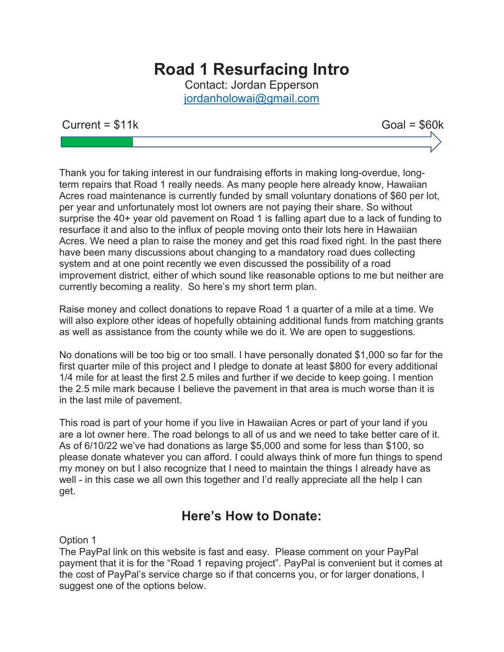# Road 1 Resurfacing Intro

Contact: Jordan Epperson jordanholowai@gmail.com

### $Current = $11k$  Goal =  $$60k$

Thank you for taking interest in our fundraising efforts in making long-overdue, longterm repairs that Road 1 really needs. As many people here already know, Hawaiian Acres road maintenance is currently funded by small voluntary donations of \$60 per lot, per year and unfortunately most lot owners are not paying their share. So without surprise the 40+ year old pavement on Road 1 is falling apart due to a lack of funding to resurface it and also to the influx of people moving onto their lots here in Hawaiian Acres. We need a plan to raise the money and get this road fixed right. In the past there have been many discussions about changing to a mandatory road dues collecting system and at one point recently we even discussed the possibility of a road improvement district, either of which sound like reasonable options to me but neither are currently becoming a reality. So here's my short term plan.

Raise money and collect donations to repave Road 1 a quarter of a mile at a time. We will also explore other ideas of hopefully obtaining additional funds from matching grants as well as assistance from the county while we do it. We are open to suggestions.

No donations will be too big or too small. I have personally donated \$1,000 so far for the first quarter mile of this project and I pledge to donate at least \$800 for every additional 1/4 mile for at least the first 2.5 miles and further if we decide to keep going. I mention the 2.5 mile mark because I believe the pavement in that area is much worse than it is in the last mile of pavement.

This road is part of your home if you live in Hawaiian Acres or part of your land if you are a lot owner here. The road belongs to all of us and we need to take better care of it. As of 6/10/22 we've had donations as large \$5,000 and some for less than \$100, so please donate whatever you can afford. I could always think of more fun things to spend my money on but I also recognize that I need to maintain the things I already have as well - in this case we all own this together and I'd really appreciate all the help I can get.

## Here's How to Donate:

Option 1

The PayPal link on this website is fast and easy. Please comment on your PayPal payment that it is for the "Road 1 repaving project". PayPal is convenient but it comes at the cost of PayPal's service charge so if that concerns you, or for larger donations, I suggest one of the options below.